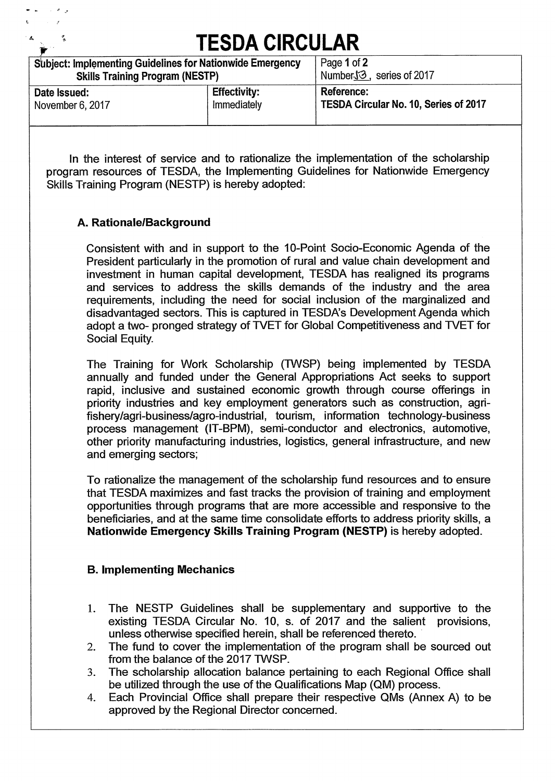| <b>TESDA CIRCULAR</b>                                            |                     |                                       |  |  |  |  |
|------------------------------------------------------------------|---------------------|---------------------------------------|--|--|--|--|
| <b>Subject: Implementing Guidelines for Nationwide Emergency</b> |                     | Page 1 of 2                           |  |  |  |  |
| <b>Skills Training Program (NESTP)</b>                           |                     | NumberJ3, series of 2017              |  |  |  |  |
| Date Issued:                                                     | <b>Effectivity:</b> | Reference:                            |  |  |  |  |
| November 6, 2017                                                 | Immediately         | TESDA Circular No. 10, Series of 2017 |  |  |  |  |

**In the interest of service and to rationalize the implementation of the scholarship program resources of TESDA, the Implementing Guidelines for Nationwide Emergency Skills Training Program (NESTP) is hereby adopted:** 

## **A. Rationale/Background**

**Consistent with and in support to the 10-Point Socio-Economic Agenda of the President particularly in the promotion of rural and value chain development and investment in human capital development, TESDA has realigned its programs and services to address the skills demands of the industry and the area requirements, including the need for social inclusion of the marginalized and disadvantaged sectors. This is captured in TESDA's Development Agenda which**  adopt a two- pronged strategy of TVET for Global Competitiveness and TVET for **Social Equity.** 

**The Training for Work Scholarship (TVVSP) being implemented by TESDA annually and funded under the General Appropriations Act seeks to support rapid, inclusive and sustained economic growth through course offerings in priority industries and key employment generators such as construction, agrifishery/agri-business/agro-industrial, tourism, information technology-business process management (lT-BPM), semi-conductor and electronics, automotive, other priority manufacturing industries, logistics, general infrastructure, and new and emerging sectors;** 

**To rationalize the management of the scholarship fund resources and to ensure that TESDA maximizes and fast tracks the provision of training and employment opportunities through programs that are more accessible and responsive to the beneficiaries, and at the same time consolidate efforts to address priority skills, a Nationwide Emergency Skills Training Program (NESTP) is hereby adopted.** 

## **B. Implementing Mechanics**

- **1. The NESTP Guidelines shall be supplementary and supportive to the existing TESDA Circular No. 10, s. of 2017 and the salient provisions, unless otherwise specified herein, shall be referenced thereto.**
- **2. The fund to cover the implementation of the program shall be sourced out from the balance of the 2017 TVVSP.**
- **3. The scholarship allocation balance pertaining to each Regional Office shall be utilized through the use of the Qualifications Map (QM) process.**
- **4. Each Provincial Office shall prepare their respective QMs (Annex A) to be approved by the Regional Director concerned.**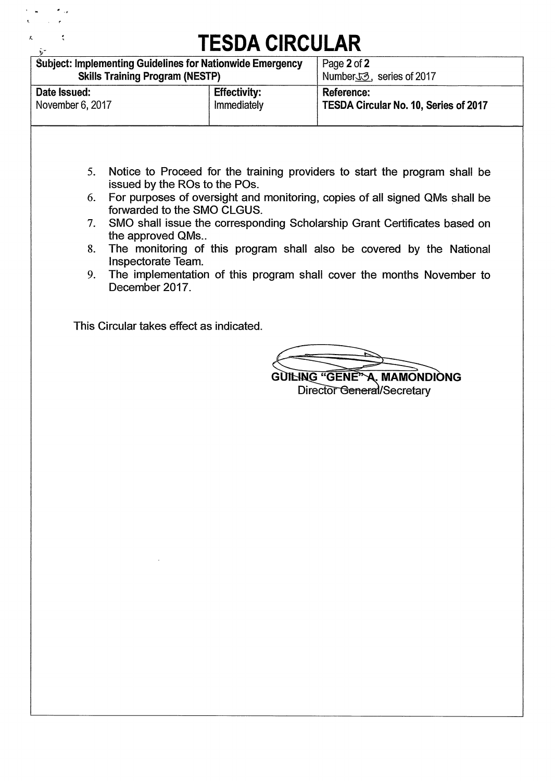| <b>TESDA CIRCULAR</b>                                            |                     |                                       |  |  |  |  |
|------------------------------------------------------------------|---------------------|---------------------------------------|--|--|--|--|
| <b>Subject: Implementing Guidelines for Nationwide Emergency</b> |                     | Page 2 of 2                           |  |  |  |  |
| <b>Skills Training Program (NESTP)</b>                           |                     | Number <sub>J</sub> 3, series of 2017 |  |  |  |  |
| Date Issued:                                                     | <b>Effectivity:</b> | Reference:                            |  |  |  |  |
| November 6, 2017                                                 | Immediately         | TESDA Circular No. 10, Series of 2017 |  |  |  |  |

- **5. Notice to Proceed for the training providers to start the program shall be issued by the ROs to the POs.**
- **6. For purposes of oversight and monitoring, copies of all signed QMs shall be forwarded to the SMO CLGUS.**
- **7. SMO shall issue the corresponding Scholarship Grant Certificates based on the approved QMs..**
- **8. The monitoring of this program shall also be covered by the National Inspectorate Team.**
- **9. The implementation of this program shall cover the months November to December 2017.**

**This Circular takes effect as indicated.** 

**GUILING "GENE" A. MAMONDIONG Director General/Secretary**